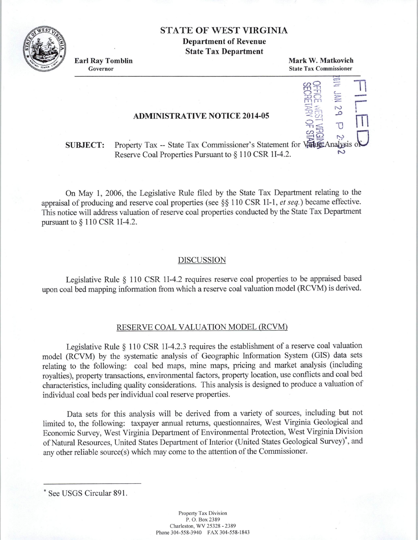# STATE OF WEST VIRGINIA

Department of Revenue State Tax Department

Earl Ray Tomblin Governor

Mark W. Matkovich State Tax Commissioner

> $\circ$  <u>::</u>  $\bigcup$   $\bigcirc$   $\bigcirc$   $\bigcirc$   $\bigcirc$  $\Xi$   $\sim$  $577$   $\frac{1}{9}$

 $\vec{n} \leq \vec{U}$ :0

= c.nO *.::=* 11 rn -n

 $\frac{1}{\sqrt{2}}$ 

 $\frac{35}{2}$  n

## ADMINISTRATIVE NOTICE 2014-05

#### SUBJECT: Property Tax -- State Tax Commissioner's Statement for Value Analysis o Reserve Coal Properties Pursuant to § 110 CSR 1I-4.2.

On May 1, 2006, the Legislative Rule filed by the State Tax Department relating to the appraisal of producing and reserve coal properties (see§§ 110 CSR 11-1, *et seq.)* became effective. This notice will address valuation of reserve coal properties conducted by the State Tax Department pursuant to§ 110 CSR 11-4.2.

### DISCUSSION

Legislative Rule  $\S$  110 CSR 1I-4.2 requires reserve coal properties to be appraised based upon coal bed mapping information from which a reserve coal valuation model (RCVM) is derived.

## RESERVE COAL VALUATION MODEL (RCVM)

Legislative Rule § 110 CSR 11-4.2.3 requires the establishment of a reserve coal valuation model (RCVM) by the systematic analysis of Geographic Information System (GIS) data sets relating to the following: coal bed maps, mine maps, pricing and market analysis (including royalties), property transactions, environmental factors, property location, use conflicts and coal bed characteristics, including quality considerations. This analysis is designed to produce a valuation of individual coal beds per individual coal reserve properties.

Data sets for this analysis will be derived from a variety of sources, including but not limited to, the following: taxpayer annual returns, questionnaires, West Virginia Geological and Economic Survey, West Virginia Department of Environmental Protection, West Virginia Division of Natural Resources, United States Department of Interior (United States Geological Survey)<sup>\*</sup>, and any other reliable source(s) which may come to the attention of the Commissioner.

<sup>•</sup> See USGS Circular 891.